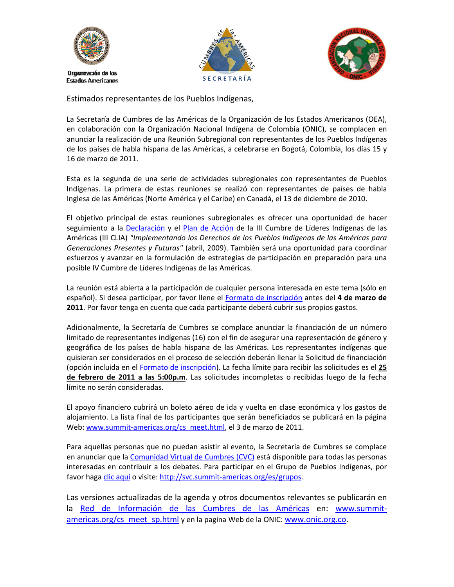





Estimados representantes de los Pueblos Indígenas,

La Secretaría de Cumbres de las Américas de la Organización de los Estados Americanos (OEA), en colaboración con la Organización Nacional Indígena de Colombia (ONIC), se complacen en anunciar la realización de una Reunión Subregional con representantes de los Pueblos Indígenas de los países de habla hispana de las Américas, a celebrarse en Bogotá, Colombia, los días 15 y 16 de marzo de 2011.

Esta es la segunda de una serie de actividades subregionales con representantes de Pueblos Indígenas. La primera de estas reuniones se realizó con representantes de países de habla Inglesa de las Américas (Norte América y el Caribe) en Canadá, el 13 de diciembre de 2010.

El objetivo principal de estas reuniones subregionales es ofrecer una oportunidad de hacer seguimiento a la [Declaración](http://www.summit-americas.org/V_Summit/CS/ilsa_dec_sp.pdf) y el Plan de [Acción](http://www.summit-americas.org/V_Summit/CS/ilsa_poa_sp.pdf) de la III Cumbre de Líderes Indígenas de las Américas (III CLIA) *"Implementando los Derechos de los Pueblos Indígenas de las Américas para Generaciones Presentes y Futuras"* (abril, 2009). También será una oportunidad para coordinar esfuerzos y avanzar en la formulación de estrategias de participación en preparación para una posible IV Cumbre de Líderes Indígenas de las Américas.

La reunión está abierta a la participación de cualquier persona interesada en este tema (sólo en español). Si desea participar, por favor llene el Formato de [inscripción](https://www.surveymonkey.com/s/WJGC3MB) antes del **4 de marzo de 2011**. Por favor tenga en cuenta que cada participante deberá cubrir sus propios gastos.

Adicionalmente, la Secretaría de Cumbres se complace anunciar la financiación de un número limitado de representantes indígenas (16) con el fin de asegurar una representación de género y geográfica de los países de habla hispana de las Américas. Los representantes indígenas que quisieran ser considerados en el proceso de selección deberán llenar la Solicitud de [financiación](https://www.surveymonkey.com/s/WJGC3MB) (opción incluida en el Formato de [inscripción\).](https://www.surveymonkey.com/s/WJGC3MB) La fecha límite para recibir las solicitudes es el **25 de febrero de 2011 a las 5:00p.m**. Las solicitudes incompletas o recibidas luego de la fecha límite no serán consideradas.

El apoyo financiero cubrirá un boleto aéreo de ida y vuelta en clase económica y los gastos de alojamiento. La lista final de los participantes que serán beneficiados se publicará en la página Web: www.summit-[americas.org/cs\\_meet.html](http://www.summit-americas.org/cs_meet.html), el 3 de marzo de 2011.

Para aquellas personas que no puedan asistir al evento, la Secretaría de Cumbres se complace en anunciar que la [Comunidad](http://svc.summit-americas.org/es) Virtual de Cumbres (CVC) está disponible para todas las personas interesadas en contribuir a los debates. Para participar en el Grupo de Pueblos Indígenas, por favor haga clic [aquí](http://svc.summit-americas.org/es/groups/grupo-sobre-pueblos-ind%C3%ADgenas) o visite: http://svc.summit-[americas.org/es/grupos](http://svc.summit-americas.org/es/grupos).

Las versiones actualizadas de la agenda y otros documentos relevantes se publicarán en la Red de [Información](http://www.summit-americas.org/defaults.htm) de las Cumbres de las Américas en: [www.summit](http://www.summit-americas.org/cs_meet_sp.html)[americas.org/cs\\_meet\\_sp.html](http://www.summit-americas.org/cs_meet_sp.html) y en la pagina Web de la ONIC: [www.onic.org.co](http://www.onic.org.co/).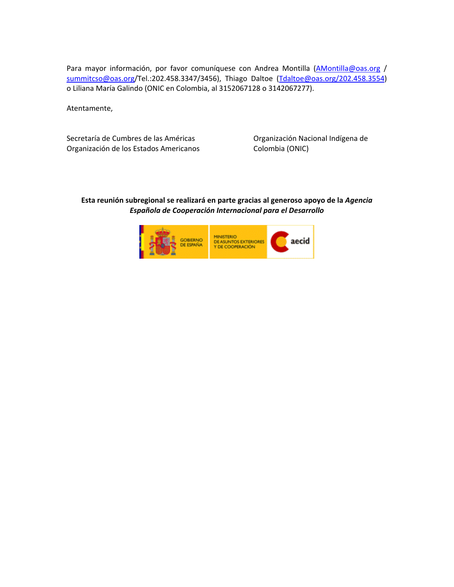Para mayor información, por favor comuníquese con Andrea Montilla [\(AMontilla@oas.org](mailto:AMontilla@oas.org) / [summitcso@oas.org](mailto:summitcso@oas.org)/Tel.:202.458.3347/3456), Thiago Daltoe [\(Tdaltoe@oas.org/202.458.3554\)](mailto:Tdaltoe@oas.org/202.458.3554) o Liliana María Galindo (ONIC en Colombia, al 3152067128 o 3142067277).

Atentamente,

Secretaría de Cumbres de las Américas **Califates de Secretaría de Cumbres de las Américas** de Deganización Nacional Indígena de Organización de los Estados Americanos Colombia (ONIC)

## **Esta reunión subregional se realizará en parte gracias al generoso apoyo de la** *Agencia Española de Cooperación Internacional para el Desarrollo*

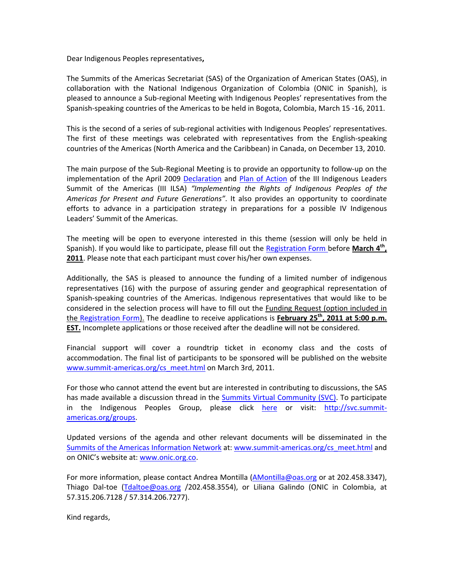Dear Indigenous Peoples representatives**,**

The Summits of the Americas Secretariat (SAS) of the Organization of American States (OAS), in collaboration with the National Indigenous Organization of Colombia (ONIC in Spanish), is pleased to announce a Sub‐regional Meeting with Indigenous Peoples' representatives from the Spanish‐speaking countries of the Americas to be held in Bogota, Colombia, March 15 ‐16, 2011.

This is the second of a series of sub‐regional activities with Indigenous Peoples' representatives. The first of these meetings was celebrated with representatives from the English‐speaking countries of the Americas (North America and the Caribbean) in Canada, on December 13, 2010.

The main purpose of the Sub‐Regional Meeting is to provide an opportunity to follow‐up on the implementation of the April 2009 [Declaration](http://www.summit-americas.org/V_Summit/CS/ilsa_dec_en.pdf) and Plan of [Action](http://www.summit-americas.org/V_Summit/CS/ilsa_poa_en.pdf) of the III Indigenous Leaders Summit of the Americas (III ILSA) *"Implementing the Rights of Indigenous Peoples of the Americas for Present and Future Generations"*. It also provides an opportunity to coordinate efforts to advance in a participation strategy in preparations for a possible IV Indigenous Leaders' Summit of the Americas.

The meeting will be open to everyone interested in this theme (session will only be held in Spanish). If you would like to participate, please fill out the [Registration](https://www.surveymonkey.com/s/WJGC3MB) Form before **March 4th, 2011**. Please note that each participant must cover his/her own expenses.

Additionally, the SAS is pleased to announce the funding of a limited number of indigenous representatives (16) with the purpose of assuring gender and geographical representation of Spanish‐speaking countries of the Americas. Indigenous representatives that would like to be considered in the selection process will have to fill out the Funding Request (option included in the [Registration](https://www.surveymonkey.com/s/WJGC3MB) Form). The deadline to receive applications is **February 25th, 2011 at 5:00 p.m. EST.** Incomplete applications or those received after the deadline will not be considered.

Financial support will cover a roundtrip ticket in economy class and the costs of accommodation. The final list of participants to be sponsored will be published on the website www.summit-[americas.org/cs\\_meet.html](http://www.summit-americas.org/cs_meet.html) on March 3rd, 2011.

For those who cannot attend the event but are interested in contributing to discussions, the SAS has made available a discussion thread in the Summits Virtual [Community](http://svc.summit-americas.org/) (SVC). To participate in the Indigenous Peoples Group, please click [here](http://svc.summit-americas.org/groups/indigenous-peoples-group) or visit: [http://svc.summit](http://svc.summit-americas.org/groups)[americas.org/groups.](http://svc.summit-americas.org/groups)

Updated versions of the agenda and other relevant documents will be disseminated in the Summits of the Americas [Information](http://www.summit-americas.org/Default.htm) Network at: www.summit-[americas.org/cs\\_meet.html](http://www.summit-americas.org/cs_meet.html) and on ONIC's website at: [www.onic.org.co](http://www.onic.org.co/).

For more information, please contact Andrea Montilla ([AMontilla@oas.org](mailto:AMontilla@oas.org) or at 202.458.3347), Thiago Dal‐toe [\(Tdaltoe@oas.org](mailto:Tdaltoe@oas.org) /202.458.3554), or Liliana Galindo (ONIC in Colombia, at 57.315.206.7128 / 57.314.206.7277).

Kind regards,